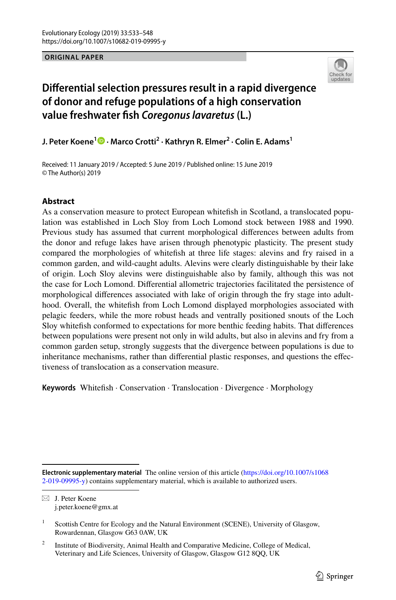**ORIGINAL PAPER**



# **Diferential selection pressures result in a rapid divergence of donor and refuge populations of a high conservation value freshwater fsh** *Coregonus lavaretus* **(L.)**

**J. Peter Koene[1](http://orcid.org/0000-0002-5738-2148) · Marco Crotti2 · Kathryn R. Elmer2 · Colin E. Adams1**

Received: 11 January 2019 / Accepted: 5 June 2019 / Published online: 15 June 2019 © The Author(s) 2019

## **Abstract**

As a conservation measure to protect European whitefsh in Scotland, a translocated population was established in Loch Sloy from Loch Lomond stock between 1988 and 1990. Previous study has assumed that current morphological diferences between adults from the donor and refuge lakes have arisen through phenotypic plasticity. The present study compared the morphologies of whitefsh at three life stages: alevins and fry raised in a common garden, and wild-caught adults. Alevins were clearly distinguishable by their lake of origin. Loch Sloy alevins were distinguishable also by family, although this was not the case for Loch Lomond. Diferential allometric trajectories facilitated the persistence of morphological diferences associated with lake of origin through the fry stage into adulthood. Overall, the whitefsh from Loch Lomond displayed morphologies associated with pelagic feeders, while the more robust heads and ventrally positioned snouts of the Loch Sloy whitefsh conformed to expectations for more benthic feeding habits. That diferences between populations were present not only in wild adults, but also in alevins and fry from a common garden setup, strongly suggests that the divergence between populations is due to inheritance mechanisms, rather than diferential plastic responses, and questions the efectiveness of translocation as a conservation measure.

**Keywords** Whitefsh · Conservation · Translocation · Divergence · Morphology

**Electronic supplementary material** The online version of this article [\(https://doi.org/10.1007/s1068](https://doi.org/10.1007/s10682-019-09995-y) [2-019-09995-y\)](https://doi.org/10.1007/s10682-019-09995-y) contains supplementary material, which is available to authorized users.

 $\boxtimes$  J. Peter Koene j.peter.koene@gmx.at

<sup>1</sup> Scottish Centre for Ecology and the Natural Environment (SCENE), University of Glasgow, Rowardennan, Glasgow G63 0AW, UK

<sup>&</sup>lt;sup>2</sup> Institute of Biodiversity, Animal Health and Comparative Medicine, College of Medical, Veterinary and Life Sciences, University of Glasgow, Glasgow G12 8QQ, UK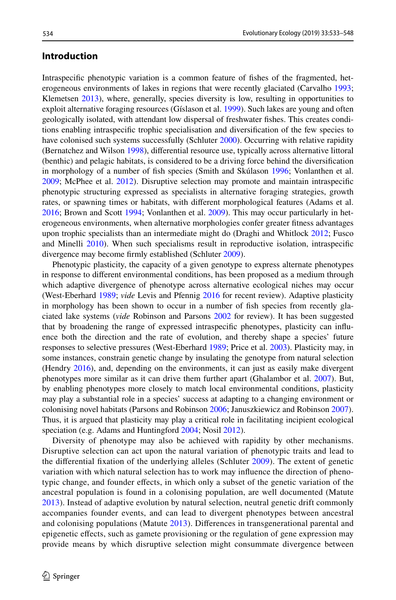# **Introduction**

Intraspecifc phenotypic variation is a common feature of fshes of the fragmented, het-erogeneous environments of lakes in regions that were recently glaciated (Carvalho [1993;](#page-12-0) Klemetsen [2013\)](#page-13-0), where, generally, species diversity is low, resulting in opportunities to exploit alternative foraging resources (Gíslason et al. [1999](#page-13-1)). Such lakes are young and often geologically isolated, with attendant low dispersal of freshwater fshes. This creates conditions enabling intraspecifc trophic specialisation and diversifcation of the few species to have colonised such systems successfully (Schluter [2000](#page-14-0)). Occurring with relative rapidity (Bernatchez and Wilson [1998\)](#page-12-1), diferential resource use, typically across alternative littoral (benthic) and pelagic habitats, is considered to be a driving force behind the diversifcation in morphology of a number of fsh species (Smith and Skúlason [1996](#page-14-1); Vonlanthen et al. [2009;](#page-14-2) McPhee et al. [2012](#page-13-2)). Disruptive selection may promote and maintain intraspecifc phenotypic structuring expressed as specialists in alternative foraging strategies, growth rates, or spawning times or habitats, with diferent morphological features (Adams et al. [2016;](#page-12-2) Brown and Scott [1994;](#page-12-3) Vonlanthen et al. [2009](#page-14-2)). This may occur particularly in heterogeneous environments, when alternative morphologies confer greater ftness advantages upon trophic specialists than an intermediate might do (Draghi and Whitlock [2012](#page-12-4); Fusco and Minelli [2010](#page-13-3)). When such specialisms result in reproductive isolation, intraspecifc divergence may become frmly established (Schluter [2009\)](#page-14-3).

Phenotypic plasticity, the capacity of a given genotype to express alternate phenotypes in response to diferent environmental conditions, has been proposed as a medium through which adaptive divergence of phenotype across alternative ecological niches may occur (West-Eberhard [1989;](#page-14-4) *vide* Levis and Pfennig [2016](#page-13-4) for recent review). Adaptive plasticity in morphology has been shown to occur in a number of fsh species from recently glaciated lake systems (*vide* Robinson and Parsons [2002](#page-14-5) for review). It has been suggested that by broadening the range of expressed intraspecifc phenotypes, plasticity can infuence both the direction and the rate of evolution, and thereby shape a species' future responses to selective pressures (West-Eberhard [1989](#page-14-4); Price et al. [2003\)](#page-14-6). Plasticity may, in some instances, constrain genetic change by insulating the genotype from natural selection (Hendry [2016\)](#page-13-5), and, depending on the environments, it can just as easily make divergent phenotypes more similar as it can drive them further apart (Ghalambor et al. [2007\)](#page-13-6). But, by enabling phenotypes more closely to match local environmental conditions, plasticity may play a substantial role in a species' success at adapting to a changing environment or colonising novel habitats (Parsons and Robinson [2006;](#page-13-7) Januszkiewicz and Robinson [2007](#page-13-8)). Thus, it is argued that plasticity may play a critical role in facilitating incipient ecological speciation (e.g. Adams and Huntingford [2004](#page-12-5); Nosil [2012](#page-13-9)).

Diversity of phenotype may also be achieved with rapidity by other mechanisms. Disruptive selection can act upon the natural variation of phenotypic traits and lead to the diferential fxation of the underlying alleles (Schluter [2009](#page-14-3)). The extent of genetic variation with which natural selection has to work may infuence the direction of phenotypic change, and founder efects, in which only a subset of the genetic variation of the ancestral population is found in a colonising population, are well documented (Matute [2013](#page-13-10)). Instead of adaptive evolution by natural selection, neutral genetic drift commonly accompanies founder events, and can lead to divergent phenotypes between ancestral and colonising populations (Matute [2013](#page-13-10)). Diferences in transgenerational parental and epigenetic efects, such as gamete provisioning or the regulation of gene expression may provide means by which disruptive selection might consummate divergence between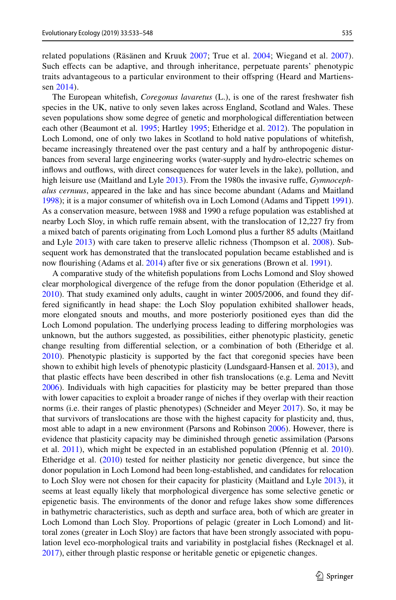related populations (Räsänen and Kruuk [2007](#page-14-7); True et al. [2004](#page-14-8); Wiegand et al. [2007\)](#page-15-0). Such efects can be adaptive, and through inheritance, perpetuate parents' phenotypic traits advantageous to a particular environment to their ofspring (Heard and Martienssen [2014\)](#page-13-11).

The European whitefsh, *Coregonus lavaretus* (L.), is one of the rarest freshwater fsh species in the UK, native to only seven lakes across England, Scotland and Wales. These seven populations show some degree of genetic and morphological diferentiation between each other (Beaumont et al. [1995;](#page-12-6) Hartley [1995](#page-13-12); Etheridge et al. [2012\)](#page-13-13). The population in Loch Lomond, one of only two lakes in Scotland to hold native populations of whitefsh, became increasingly threatened over the past century and a half by anthropogenic disturbances from several large engineering works (water-supply and hydro-electric schemes on infows and outfows, with direct consequences for water levels in the lake), pollution, and high leisure use (Maitland and Lyle [2013](#page-13-14)). From the 1980s the invasive ruffe, *Gymnocephalus cernuus*, appeared in the lake and has since become abundant (Adams and Maitland [1998\)](#page-12-7); it is a major consumer of whitefsh ova in Loch Lomond (Adams and Tippett [1991](#page-12-8)). As a conservation measure, between 1988 and 1990 a refuge population was established at nearby Loch Sloy, in which rufe remain absent, with the translocation of 12,227 fry from a mixed batch of parents originating from Loch Lomond plus a further 85 adults (Maitland and Lyle [2013\)](#page-13-14) with care taken to preserve allelic richness (Thompson et al. [2008](#page-14-9)). Subsequent work has demonstrated that the translocated population became established and is now flourishing (Adams et al. [2014](#page-12-9)) after five or six generations (Brown et al. [1991\)](#page-12-10).

A comparative study of the whitefsh populations from Lochs Lomond and Sloy showed clear morphological divergence of the refuge from the donor population (Etheridge et al. [2010\)](#page-13-15). That study examined only adults, caught in winter 2005/2006, and found they differed signifcantly in head shape: the Loch Sloy population exhibited shallower heads, more elongated snouts and mouths, and more posteriorly positioned eyes than did the Loch Lomond population. The underlying process leading to difering morphologies was unknown, but the authors suggested, as possibilities, either phenotypic plasticity, genetic change resulting from diferential selection, or a combination of both (Etheridge et al. [2010\)](#page-13-15). Phenotypic plasticity is supported by the fact that coregonid species have been shown to exhibit high levels of phenotypic plasticity (Lundsgaard-Hansen et al. [2013\)](#page-13-16), and that plastic efects have been described in other fsh translocations (e.g. Lema and Nevitt [2006\)](#page-13-17). Individuals with high capacities for plasticity may be better prepared than those with lower capacities to exploit a broader range of niches if they overlap with their reaction norms (i.e. their ranges of plastic phenotypes) (Schneider and Meyer [2017](#page-14-10)). So, it may be that survivors of translocations are those with the highest capacity for plasticity and, thus, most able to adapt in a new environment (Parsons and Robinson [2006\)](#page-13-7). However, there is evidence that plasticity capacity may be diminished through genetic assimilation (Parsons et al. [2011](#page-14-11)), which might be expected in an established population (Pfennig et al. [2010](#page-14-12)). Etheridge et al. ([2010\)](#page-13-15) tested for neither plasticity nor genetic divergence, but since the donor population in Loch Lomond had been long-established, and candidates for relocation to Loch Sloy were not chosen for their capacity for plasticity (Maitland and Lyle [2013\)](#page-13-14), it seems at least equally likely that morphological divergence has some selective genetic or epigenetic basis. The environments of the donor and refuge lakes show some diferences in bathymetric characteristics, such as depth and surface area, both of which are greater in Loch Lomond than Loch Sloy. Proportions of pelagic (greater in Loch Lomond) and littoral zones (greater in Loch Sloy) are factors that have been strongly associated with population level eco-morphological traits and variability in postglacial fshes (Recknagel et al. [2017\)](#page-14-13), either through plastic response or heritable genetic or epigenetic changes.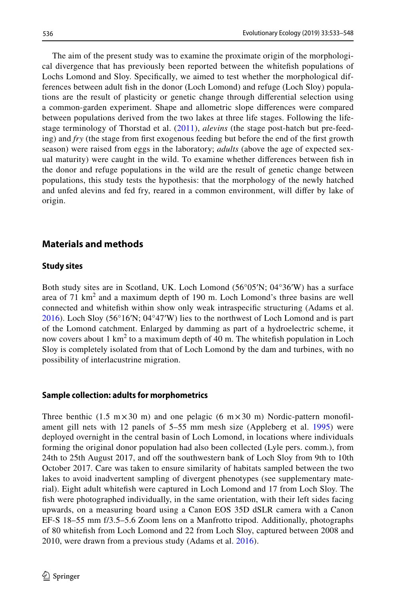The aim of the present study was to examine the proximate origin of the morphological divergence that has previously been reported between the whitefsh populations of Lochs Lomond and Sloy. Specifcally, we aimed to test whether the morphological differences between adult fsh in the donor (Loch Lomond) and refuge (Loch Sloy) populations are the result of plasticity or genetic change through diferential selection using a common-garden experiment. Shape and allometric slope diferences were compared between populations derived from the two lakes at three life stages. Following the lifestage terminology of Thorstad et al. ([2011](#page-14-14)), *alevins* (the stage post-hatch but pre-feeding) and *fry* (the stage from frst exogenous feeding but before the end of the frst growth season) were raised from eggs in the laboratory; *adults* (above the age of expected sexual maturity) were caught in the wild. To examine whether diferences between fsh in the donor and refuge populations in the wild are the result of genetic change between populations, this study tests the hypothesis: that the morphology of the newly hatched and unfed alevins and fed fry, reared in a common environment, will difer by lake of origin.

# **Materials and methods**

#### **Study sites**

Both study sites are in Scotland, UK. Loch Lomond (56°05′N; 04°36′W) has a surface area of 71  $km^2$  and a maximum depth of 190 m. Loch Lomond's three basins are well connected and whitefsh within show only weak intraspecifc structuring (Adams et al. [2016](#page-12-2)). Loch Sloy (56°16′N; 04°47′W) lies to the northwest of Loch Lomond and is part of the Lomond catchment. Enlarged by damming as part of a hydroelectric scheme, it now covers about  $1 \text{ km}^2$  to a maximum depth of 40 m. The whitefish population in Loch Sloy is completely isolated from that of Loch Lomond by the dam and turbines, with no possibility of interlacustrine migration.

#### **Sample collection: adults for morphometrics**

Three benthic (1.5  $m \times 30$  m) and one pelagic (6  $m \times 30$  m) Nordic-pattern monofilament gill nets with 12 panels of 5–55 mm mesh size (Appleberg et al. [1995\)](#page-12-11) were deployed overnight in the central basin of Loch Lomond, in locations where individuals forming the original donor population had also been collected (Lyle pers. comm.), from 24th to 25th August 2017, and off the southwestern bank of Loch Sloy from 9th to 10th October 2017. Care was taken to ensure similarity of habitats sampled between the two lakes to avoid inadvertent sampling of divergent phenotypes (see supplementary material). Eight adult whitefsh were captured in Loch Lomond and 17 from Loch Sloy. The fish were photographed individually, in the same orientation, with their left sides facing upwards, on a measuring board using a Canon EOS 35D dSLR camera with a Canon EF-S 18–55 mm f/3.5–5.6 Zoom lens on a Manfrotto tripod. Additionally, photographs of 80 whitefsh from Loch Lomond and 22 from Loch Sloy, captured between 2008 and 2010, were drawn from a previous study (Adams et al. [2016\)](#page-12-2).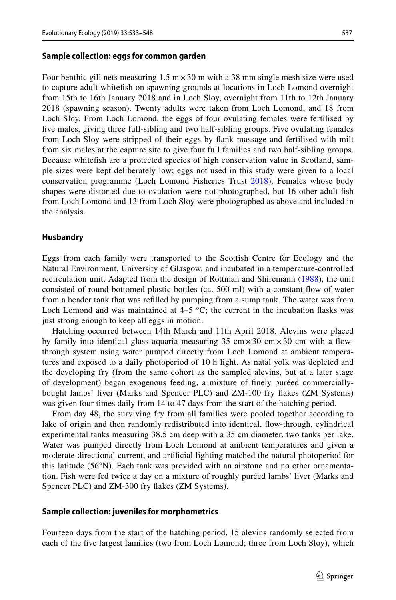#### **Sample collection: eggs for common garden**

Four benthic gill nets measuring  $1.5 \text{ m} \times 30 \text{ m}$  with a 38 mm single mesh size were used to capture adult whitefsh on spawning grounds at locations in Loch Lomond overnight from 15th to 16th January 2018 and in Loch Sloy, overnight from 11th to 12th January 2018 (spawning season). Twenty adults were taken from Loch Lomond, and 18 from Loch Sloy. From Loch Lomond, the eggs of four ovulating females were fertilised by fve males, giving three full-sibling and two half-sibling groups. Five ovulating females from Loch Sloy were stripped of their eggs by fank massage and fertilised with milt from six males at the capture site to give four full families and two half-sibling groups. Because whitefsh are a protected species of high conservation value in Scotland, sample sizes were kept deliberately low; eggs not used in this study were given to a local conservation programme (Loch Lomond Fisheries Trust [2018\)](#page-13-18). Females whose body shapes were distorted due to ovulation were not photographed, but 16 other adult fsh from Loch Lomond and 13 from Loch Sloy were photographed as above and included in the analysis.

#### **Husbandry**

Eggs from each family were transported to the Scottish Centre for Ecology and the Natural Environment, University of Glasgow, and incubated in a temperature-controlled recirculation unit. Adapted from the design of Rottman and Shiremann [\(1988\)](#page-14-15), the unit consisted of round-bottomed plastic bottles (ca. 500 ml) with a constant fow of water from a header tank that was reflled by pumping from a sump tank. The water was from Loch Lomond and was maintained at  $4-5$  °C; the current in the incubation flasks was just strong enough to keep all eggs in motion.

Hatching occurred between 14th March and 11th April 2018. Alevins were placed by family into identical glass aquaria measuring 35  $\text{cm} \times 30 \text{ cm} \times 30 \text{ cm}$  with a flowthrough system using water pumped directly from Loch Lomond at ambient temperatures and exposed to a daily photoperiod of 10 h light. As natal yolk was depleted and the developing fry (from the same cohort as the sampled alevins, but at a later stage of development) began exogenous feeding, a mixture of fnely puréed commerciallybought lambs' liver (Marks and Spencer PLC) and ZM-100 fry fakes (ZM Systems) was given four times daily from 14 to 47 days from the start of the hatching period.

From day 48, the surviving fry from all families were pooled together according to lake of origin and then randomly redistributed into identical, fow-through, cylindrical experimental tanks measuring 38.5 cm deep with a 35 cm diameter, two tanks per lake. Water was pumped directly from Loch Lomond at ambient temperatures and given a moderate directional current, and artifcial lighting matched the natural photoperiod for this latitude (56°N). Each tank was provided with an airstone and no other ornamentation. Fish were fed twice a day on a mixture of roughly puréed lambs' liver (Marks and Spencer PLC) and ZM-300 fry fakes (ZM Systems).

#### **Sample collection: juveniles for morphometrics**

Fourteen days from the start of the hatching period, 15 alevins randomly selected from each of the fve largest families (two from Loch Lomond; three from Loch Sloy), which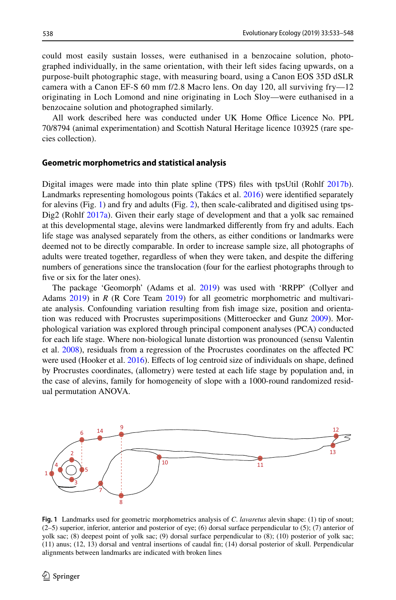could most easily sustain losses, were euthanised in a benzocaine solution, photographed individually, in the same orientation, with their left sides facing upwards, on a purpose-built photographic stage, with measuring board, using a Canon EOS 35D dSLR camera with a Canon EF-S 60 mm f/2.8 Macro lens. On day 120, all surviving fry—12 originating in Loch Lomond and nine originating in Loch Sloy—were euthanised in a benzocaine solution and photographed similarly.

All work described here was conducted under UK Home Office Licence No. PPL 70/8794 (animal experimentation) and Scottish Natural Heritage licence 103925 (rare species collection).

#### **Geometric morphometrics and statistical analysis**

Digital images were made into thin plate spline (TPS) fles with tpsUtil (Rohlf [2017b](#page-14-16)). Landmarks representing homologous points (Takács et al. [2016](#page-14-17)) were identifed separately for alevins (Fig. [1](#page-5-0)) and fry and adults (Fig. [2\)](#page-6-0), then scale-calibrated and digitised using tps-Dig2 (Rohlf [2017a\)](#page-14-18). Given their early stage of development and that a yolk sac remained at this developmental stage, alevins were landmarked diferently from fry and adults. Each life stage was analysed separately from the others, as either conditions or landmarks were deemed not to be directly comparable. In order to increase sample size, all photographs of adults were treated together, regardless of when they were taken, and despite the difering numbers of generations since the translocation (four for the earliest photographs through to five or six for the later ones).

The package 'Geomorph' (Adams et al. [2019\)](#page-12-12) was used with 'RRPP' (Collyer and Adams [2019](#page-12-13)) in *R* (R Core Team [2019](#page-14-19)) for all geometric morphometric and multivariate analysis. Confounding variation resulting from fsh image size, position and orienta-tion was reduced with Procrustes superimpositions (Mitteroecker and Gunz [2009](#page-13-19)). Morphological variation was explored through principal component analyses (PCA) conducted for each life stage. Where non-biological lunate distortion was pronounced (sensu Valentin et al. [2008](#page-14-20)), residuals from a regression of the Procrustes coordinates on the afected PC were used (Hooker et al. [2016](#page-13-20)). Efects of log centroid size of individuals on shape, defned by Procrustes coordinates, (allometry) were tested at each life stage by population and, in the case of alevins, family for homogeneity of slope with a 1000-round randomized residual permutation ANOVA.



<span id="page-5-0"></span>**Fig. 1** Landmarks used for geometric morphometrics analysis of *C*. *lavaretus* alevin shape: (1) tip of snout;  $(2–5)$  superior, inferior, anterior and posterior of eye; (6) dorsal surface perpendicular to (5); (7) anterior of yolk sac; (8) deepest point of yolk sac; (9) dorsal surface perpendicular to (8); (10) posterior of yolk sac; (11) anus; (12, 13) dorsal and ventral insertions of caudal fn; (14) dorsal posterior of skull. Perpendicular alignments between landmarks are indicated with broken lines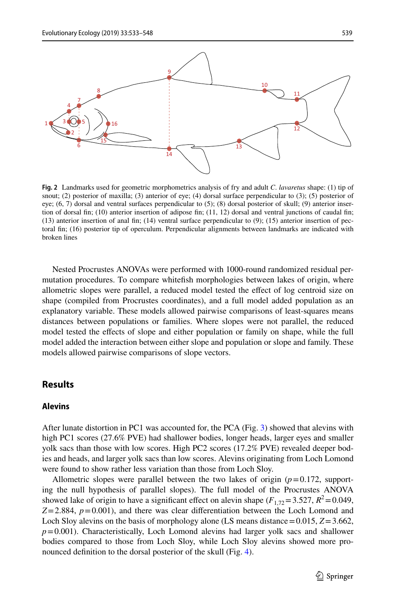

<span id="page-6-0"></span>**Fig. 2** Landmarks used for geometric morphometrics analysis of fry and adult *C*. *lavaretus* shape: (1) tip of snout; (2) posterior of maxilla; (3) anterior of eye; (4) dorsal surface perpendicular to (3); (5) posterior of eye; (6, 7) dorsal and ventral surfaces perpendicular to (5); (8) dorsal posterior of skull; (9) anterior insertion of dorsal fn; (10) anterior insertion of adipose fn; (11, 12) dorsal and ventral junctions of caudal fn; (13) anterior insertion of anal fn; (14) ventral surface perpendicular to (9); (15) anterior insertion of pectoral fn; (16) posterior tip of operculum. Perpendicular alignments between landmarks are indicated with broken lines

Nested Procrustes ANOVAs were performed with 1000-round randomized residual permutation procedures. To compare whitefsh morphologies between lakes of origin, where allometric slopes were parallel, a reduced model tested the efect of log centroid size on shape (compiled from Procrustes coordinates), and a full model added population as an explanatory variable. These models allowed pairwise comparisons of least-squares means distances between populations or families. Where slopes were not parallel, the reduced model tested the efects of slope and either population or family on shape, while the full model added the interaction between either slope and population or slope and family. These models allowed pairwise comparisons of slope vectors.

# **Results**

#### **Alevins**

After lunate distortion in PC1 was accounted for, the PCA (Fig. [3\)](#page-7-0) showed that alevins with high PC1 scores (27.6% PVE) had shallower bodies, longer heads, larger eyes and smaller yolk sacs than those with low scores. High PC2 scores (17.2% PVE) revealed deeper bodies and heads, and larger yolk sacs than low scores. Alevins originating from Loch Lomond were found to show rather less variation than those from Loch Sloy.

Allometric slopes were parallel between the two lakes of origin  $(p=0.172, s$  supporting the null hypothesis of parallel slopes). The full model of the Procrustes ANOVA showed lake of origin to have a significant effect on alevin shape  $(F_{1,72}=3.527, R^2=0.049,$  $Z=2.884$ ,  $p=0.001$ ), and there was clear differentiation between the Loch Lomond and Loch Sloy alevins on the basis of morphology alone (LS means distance=0.015, *Z*=3.662,  $p=0.001$ ). Characteristically, Loch Lomond alevins had larger yolk sacs and shallower bodies compared to those from Loch Sloy, while Loch Sloy alevins showed more pronounced defnition to the dorsal posterior of the skull (Fig. [4](#page-7-1)).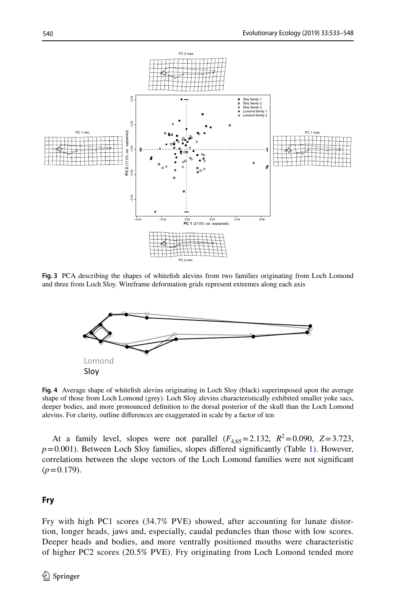

<span id="page-7-0"></span>**Fig. 3** PCA describing the shapes of whitefsh alevins from two families originating from Loch Lomond and three from Loch Sloy. Wireframe deformation grids represent extremes along each axis



<span id="page-7-1"></span>**Fig. 4** Average shape of whitefsh alevins originating in Loch Sloy (black) superimposed upon the average shape of those from Loch Lomond (grey). Loch Sloy alevins characteristically exhibited smaller yoke sacs, deeper bodies, and more pronounced defnition to the dorsal posterior of the skull than the Loch Lomond alevins. For clarity, outline diferences are exaggerated in scale by a factor of ten

At a family level, slopes were not parallel  $(F_{4,65} = 2.132, R^2 = 0.090, Z = 3.723,$  $p=0.001$ ). Between Loch Sloy families, slopes differed significantly (Table [1\)](#page-8-0). However, correlations between the slope vectors of the Loch Lomond families were not signifcant  $(p=0.179)$ .

### **Fry**

Fry with high PC1 scores (34.7% PVE) showed, after accounting for lunate distortion, longer heads, jaws and, especially, caudal peduncles than those with low scores. Deeper heads and bodies, and more ventrally positioned mouths were characteristic of higher PC2 scores (20.5% PVE). Fry originating from Loch Lomond tended more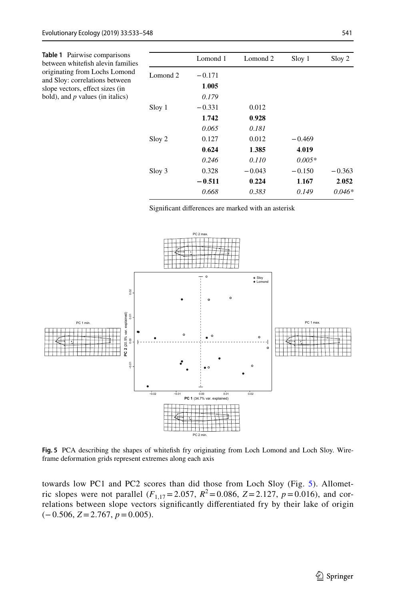<span id="page-8-0"></span>

| Table 1 Pairwise comparisons<br>between whitefish alevin families<br>originating from Lochs Lomond<br>and Sloy: correlations between<br>slope vectors, effect sizes (in<br>bold), and $p$ values (in italics) |                     | Lomond 1 | Lomond 2 | Sloy 1   | Sloy 2   |
|---------------------------------------------------------------------------------------------------------------------------------------------------------------------------------------------------------------|---------------------|----------|----------|----------|----------|
|                                                                                                                                                                                                               | Lomond <sub>2</sub> | $-0.171$ |          |          |          |
|                                                                                                                                                                                                               |                     | 1.005    |          |          |          |
|                                                                                                                                                                                                               |                     | 0.179    |          |          |          |
|                                                                                                                                                                                                               | Sloy 1              | $-0.331$ | 0.012    |          |          |
|                                                                                                                                                                                                               |                     | 1.742    | 0.928    |          |          |
|                                                                                                                                                                                                               |                     | 0.065    | 0.181    |          |          |
|                                                                                                                                                                                                               | Sloy 2              | 0.127    | 0.012    | $-0.469$ |          |
|                                                                                                                                                                                                               |                     | 0.624    | 1.385    | 4.019    |          |
|                                                                                                                                                                                                               |                     | 0.246    | 0.110    | $0.005*$ |          |
|                                                                                                                                                                                                               | Sloy 3              | 0.328    | $-0.043$ | $-0.150$ | $-0.363$ |
|                                                                                                                                                                                                               |                     | $-0.511$ | 0.224    | 1.167    | 2.052    |
|                                                                                                                                                                                                               |                     | 0.668    | 0.383    | 0.149    | $0.046*$ |

Signifcant diferences are marked with an asterisk



<span id="page-8-1"></span>**Fig. 5** PCA describing the shapes of whitefsh fry originating from Loch Lomond and Loch Sloy. Wireframe deformation grids represent extremes along each axis

towards low PC1 and PC2 scores than did those from Loch Sloy (Fig. [5](#page-8-1)). Allometric slopes were not parallel ( $F_{1,17}$ =2.057,  $R^2$ =0.086, *Z*=2.127,  $p$ =0.016), and correlations between slope vectors signifcantly diferentiated fry by their lake of origin (−0.506, *Z*=2.767, *p*=0.005).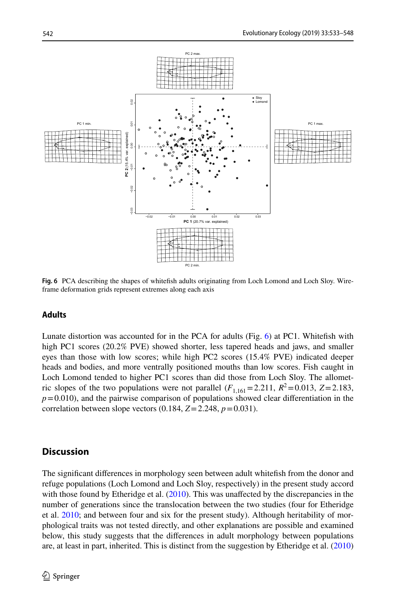

<span id="page-9-0"></span>**Fig. 6** PCA describing the shapes of whitefsh adults originating from Loch Lomond and Loch Sloy. Wireframe deformation grids represent extremes along each axis

### **Adults**

Lunate distortion was accounted for in the PCA for adults (Fig. [6\)](#page-9-0) at PC1. Whitefsh with high PC1 scores (20.2% PVE) showed shorter, less tapered heads and jaws, and smaller eyes than those with low scores; while high PC2 scores (15.4% PVE) indicated deeper heads and bodies, and more ventrally positioned mouths than low scores. Fish caught in Loch Lomond tended to higher PC1 scores than did those from Loch Sloy. The allometric slopes of the two populations were not parallel  $(F_{1,161}=2.211, R^2=0.013, Z=2.183,$  $p=0.010$ ), and the pairwise comparison of populations showed clear differentiation in the correlation between slope vectors  $(0.184, Z=2.248, p=0.031)$ .

# **Discussion**

The signifcant diferences in morphology seen between adult whitefsh from the donor and refuge populations (Loch Lomond and Loch Sloy, respectively) in the present study accord with those found by Etheridge et al. [\(2010](#page-13-15)). This was unaffected by the discrepancies in the number of generations since the translocation between the two studies (four for Etheridge et al. [2010](#page-13-15); and between four and six for the present study). Although heritability of morphological traits was not tested directly, and other explanations are possible and examined below, this study suggests that the diferences in adult morphology between populations are, at least in part, inherited. This is distinct from the suggestion by Etheridge et al. [\(2010](#page-13-15))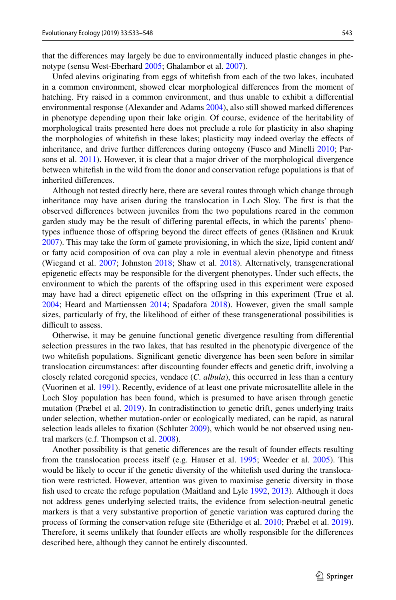that the diferences may largely be due to environmentally induced plastic changes in phenotype (sensu West-Eberhard [2005;](#page-14-21) Ghalambor et al. [2007\)](#page-13-6).

Unfed alevins originating from eggs of whitefsh from each of the two lakes, incubated in a common environment, showed clear morphological diferences from the moment of hatching. Fry raised in a common environment, and thus unable to exhibit a diferential environmental response (Alexander and Adams [2004\)](#page-12-14), also still showed marked diferences in phenotype depending upon their lake origin. Of course, evidence of the heritability of morphological traits presented here does not preclude a role for plasticity in also shaping the morphologies of whitefsh in these lakes; plasticity may indeed overlay the efects of inheritance, and drive further diferences during ontogeny (Fusco and Minelli [2010](#page-13-3); Parsons et al. [2011](#page-14-11)). However, it is clear that a major driver of the morphological divergence between whitefsh in the wild from the donor and conservation refuge populations is that of inherited diferences.

Although not tested directly here, there are several routes through which change through inheritance may have arisen during the translocation in Loch Sloy. The frst is that the observed diferences between juveniles from the two populations reared in the common garden study may be the result of difering parental efects, in which the parents' phenotypes infuence those of ofspring beyond the direct efects of genes (Räsänen and Kruuk [2007\)](#page-14-7). This may take the form of gamete provisioning, in which the size, lipid content and/ or fatty acid composition of ova can play a role in eventual alevin phenotype and ftness (Wiegand et al. [2007](#page-15-0); Johnston [2018](#page-13-21); Shaw et al. [2018](#page-14-22)). Alternatively, transgenerational epigenetic efects may be responsible for the divergent phenotypes. Under such efects, the environment to which the parents of the ofspring used in this experiment were exposed may have had a direct epigenetic effect on the offspring in this experiment (True et al. [2004;](#page-14-8) Heard and Martienssen [2014;](#page-13-11) Spadafora [2018\)](#page-14-23). However, given the small sample sizes, particularly of fry, the likelihood of either of these transgenerational possibilities is difficult to assess.

Otherwise, it may be genuine functional genetic divergence resulting from diferential selection pressures in the two lakes, that has resulted in the phenotypic divergence of the two whitefsh populations. Signifcant genetic divergence has been seen before in similar translocation circumstances: after discounting founder efects and genetic drift, involving a closely related coregonid species, vendace (*C*. *albula*), this occurred in less than a century (Vuorinen et al. [1991\)](#page-14-24). Recently, evidence of at least one private microsatellite allele in the Loch Sloy population has been found, which is presumed to have arisen through genetic mutation (Præbel et al. [2019\)](#page-14-25). In contradistinction to genetic drift, genes underlying traits under selection, whether mutation-order or ecologically mediated, can be rapid, as natural selection leads alleles to fixation (Schluter [2009\)](#page-14-3), which would be not observed using neutral markers (c.f. Thompson et al. [2008\)](#page-14-9).

Another possibility is that genetic diferences are the result of founder efects resulting from the translocation process itself (e.g. Hauser et al. [1995](#page-13-22); Weeder et al. [2005](#page-14-26)). This would be likely to occur if the genetic diversity of the whitefsh used during the translocation were restricted. However, attention was given to maximise genetic diversity in those fish used to create the refuge population (Maitland and Lyle [1992,](#page-13-23) [2013\)](#page-13-14). Although it does not address genes underlying selected traits, the evidence from selection-neutral genetic markers is that a very substantive proportion of genetic variation was captured during the process of forming the conservation refuge site (Etheridge et al. [2010;](#page-13-15) Præbel et al. [2019](#page-14-25)). Therefore, it seems unlikely that founder effects are wholly responsible for the differences described here, although they cannot be entirely discounted.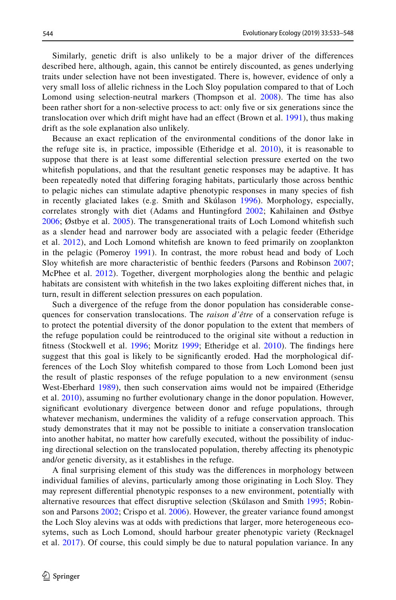Similarly, genetic drift is also unlikely to be a major driver of the diferences described here, although, again, this cannot be entirely discounted, as genes underlying traits under selection have not been investigated. There is, however, evidence of only a very small loss of allelic richness in the Loch Sloy population compared to that of Loch Lomond using selection-neutral markers (Thompson et al. [2008\)](#page-14-9). The time has also been rather short for a non-selective process to act: only fve or six generations since the translocation over which drift might have had an efect (Brown et al. [1991](#page-12-10)), thus making drift as the sole explanation also unlikely.

Because an exact replication of the environmental conditions of the donor lake in the refuge site is, in practice, impossible (Etheridge et al.  $2010$ ), it is reasonable to suppose that there is at least some diferential selection pressure exerted on the two whitefsh populations, and that the resultant genetic responses may be adaptive. It has been repeatedly noted that difering foraging habitats, particularly those across benthic to pelagic niches can stimulate adaptive phenotypic responses in many species of fsh in recently glaciated lakes (e.g. Smith and Skúlason [1996](#page-14-1)). Morphology, especially, correlates strongly with diet (Adams and Huntingford [2002](#page-12-15); Kahilainen and Østbye [2006](#page-13-24); Østbye et al. [2005\)](#page-13-25). The transgenerational traits of Loch Lomond whitefsh such as a slender head and narrower body are associated with a pelagic feeder (Etheridge et al. [2012\)](#page-13-13), and Loch Lomond whitefsh are known to feed primarily on zooplankton in the pelagic (Pomeroy [1991\)](#page-14-27). In contrast, the more robust head and body of Loch Sloy whitefsh are more characteristic of benthic feeders (Parsons and Robinson [2007;](#page-13-26) McPhee et al. [2012\)](#page-13-2). Together, divergent morphologies along the benthic and pelagic habitats are consistent with whitefsh in the two lakes exploiting diferent niches that, in turn, result in diferent selection pressures on each population.

Such a divergence of the refuge from the donor population has considerable consequences for conservation translocations. The *raison d'être* of a conservation refuge is to protect the potential diversity of the donor population to the extent that members of the refuge population could be reintroduced to the original site without a reduction in fitness (Stockwell et al. [1996](#page-14-28); Moritz [1999;](#page-13-27) Etheridge et al. [2010\)](#page-13-15). The findings here suggest that this goal is likely to be signifcantly eroded. Had the morphological differences of the Loch Sloy whitefsh compared to those from Loch Lomond been just the result of plastic responses of the refuge population to a new environment (sensu West-Eberhard [1989\)](#page-14-4), then such conservation aims would not be impaired (Etheridge et al. [2010\)](#page-13-15), assuming no further evolutionary change in the donor population. However, signifcant evolutionary divergence between donor and refuge populations, through whatever mechanism, undermines the validity of a refuge conservation approach. This study demonstrates that it may not be possible to initiate a conservation translocation into another habitat, no matter how carefully executed, without the possibility of inducing directional selection on the translocated population, thereby afecting its phenotypic and/or genetic diversity, as it establishes in the refuge.

A fnal surprising element of this study was the diferences in morphology between individual families of alevins, particularly among those originating in Loch Sloy. They may represent diferential phenotypic responses to a new environment, potentially with alternative resources that efect disruptive selection (Skúlason and Smith [1995;](#page-14-29) Robinson and Parsons [2002;](#page-14-5) Crispo et al. [2006\)](#page-12-16). However, the greater variance found amongst the Loch Sloy alevins was at odds with predictions that larger, more heterogeneous ecosytems, such as Loch Lomond, should harbour greater phenotypic variety (Recknagel et al. [2017\)](#page-14-13). Of course, this could simply be due to natural population variance. In any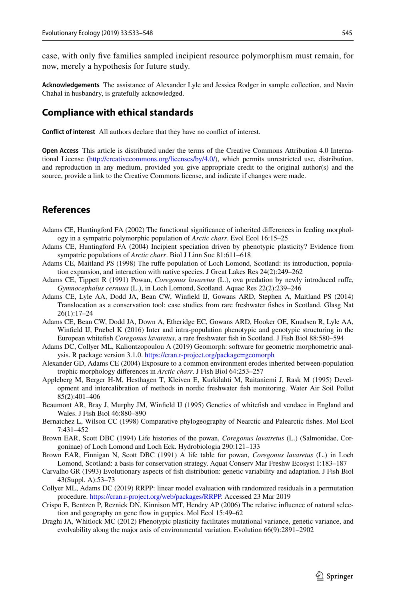case, with only fve families sampled incipient resource polymorphism must remain, for now, merely a hypothesis for future study.

**Acknowledgements** The assistance of Alexander Lyle and Jessica Rodger in sample collection, and Navin Chahal in husbandry, is gratefully acknowledged.

# **Compliance with ethical standards**

**Confict of interest** All authors declare that they have no confict of interest.

**Open Access** This article is distributed under the terms of the Creative Commons Attribution 4.0 International License ([http://creativecommons.org/licenses/by/4.0/\)](http://creativecommons.org/licenses/by/4.0/), which permits unrestricted use, distribution, and reproduction in any medium, provided you give appropriate credit to the original author(s) and the source, provide a link to the Creative Commons license, and indicate if changes were made.

# **References**

- <span id="page-12-15"></span>Adams CE, Huntingford FA (2002) The functional signifcance of inherited diferences in feeding morphology in a sympatric polymorphic population of *Arctic charr*. Evol Ecol 16:15–25
- <span id="page-12-5"></span>Adams CE, Huntingford FA (2004) Incipient speciation driven by phenotypic plasticity? Evidence from sympatric populations of *Arctic charr*. Biol J Linn Soc 81:611–618
- <span id="page-12-7"></span>Adams CE, Maitland PS (1998) The rufe population of Loch Lomond, Scotland: its introduction, population expansion, and interaction with native species. J Great Lakes Res 24(2):249–262
- <span id="page-12-8"></span>Adams CE, Tippett R (1991) Powan, *Coregonus lavaretus* (L.), ova predation by newly introduced rufe, *Gymnocephalus cernuus* (L.), in Loch Lomond, Scotland. Aquac Res 22(2):239–246
- <span id="page-12-9"></span>Adams CE, Lyle AA, Dodd JA, Bean CW, Winfeld IJ, Gowans ARD, Stephen A, Maitland PS (2014) Translocation as a conservation tool: case studies from rare freshwater fshes in Scotland. Glasg Nat 26(1):17–24
- <span id="page-12-2"></span>Adams CE, Bean CW, Dodd JA, Down A, Etheridge EC, Gowans ARD, Hooker OE, Knudsen R, Lyle AA, Winfeld IJ, Præbel K (2016) Inter and intra-population phenotypic and genotypic structuring in the European whitefsh *Coregonus lavaretus*, a rare freshwater fsh in Scotland. J Fish Biol 88:580–594
- <span id="page-12-12"></span>Adams DC, Collyer ML, Kaliontzopoulou A (2019) Geomorph: software for geometric morphometric analysis. R package version 3.1.0. [https://cran.r-project.org/package=geomorph](https://cran.r-project.org/package%3dgeomorph)
- <span id="page-12-14"></span>Alexander GD, Adams CE (2004) Exposure to a common environment erodes inherited between-population trophic morphology diferences in *Arctic charr*. J Fish Biol 64:253–257
- <span id="page-12-11"></span>Appleberg M, Berger H-M, Hesthagen T, Kleiven E, Kurkilahti M, Raitaniemi J, Rask M (1995) Development and intercalibration of methods in nordic freshwater fsh monitoring. Water Air Soil Pollut 85(2):401–406
- <span id="page-12-6"></span>Beaumont AR, Bray J, Murphy JM, Winfeld IJ (1995) Genetics of whitefsh and vendace in England and Wales. J Fish Biol 46:880–890
- <span id="page-12-1"></span>Bernatchez L, Wilson CC (1998) Comparative phylogeography of Nearctic and Palearctic fshes. Mol Ecol 7:431–452
- <span id="page-12-3"></span>Brown EAR, Scott DBC (1994) Life histories of the powan, *Coregonus lavatretus* (L.) (Salmonidae, Corgoninae) of Loch Lomond and Loch Eck. Hydrobiologia 290:121–133
- <span id="page-12-10"></span>Brown EAR, Finnigan N, Scott DBC (1991) A life table for powan, *Coregonus lavaretus* (L.) in Loch Lomond, Scotland: a basis for conservation strategy. Aquat Conserv Mar Freshw Ecosyst 1:183–187
- <span id="page-12-0"></span>Carvalho GR (1993) Evolutionary aspects of fsh distribution: genetic variability and adaptation. J Fish Biol 43(Suppl. A):53–73
- <span id="page-12-13"></span>Collyer ML, Adams DC (2019) RRPP: linear model evaluation with randomized residuals in a permutation procedure. <https://cran.r-project.org/web/packages/RRPP>. Accessed 23 Mar 2019
- <span id="page-12-16"></span>Crispo E, Bentzen P, Reznick DN, Kinnison MT, Hendry AP (2006) The relative infuence of natural selection and geography on gene fow in guppies. Mol Ecol 15:49–62
- <span id="page-12-4"></span>Draghi JA, Whitlock MC (2012) Phenotypic plasticity facilitates mutational variance, genetic variance, and evolvability along the major axis of environmental variation. Evolution 66(9):2891–2902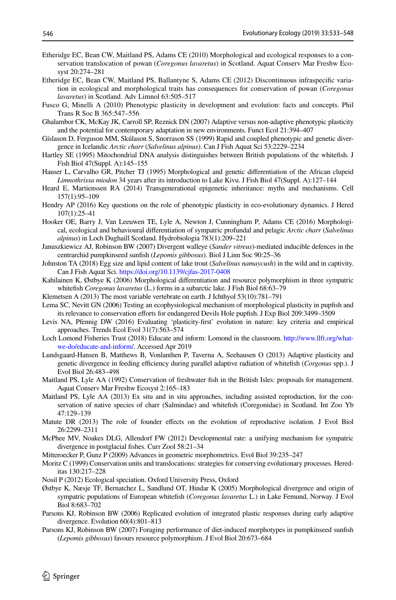- <span id="page-13-15"></span>Etheridge EC, Bean CW, Maitland PS, Adams CE (2010) Morphological and ecological responses to a conservation translocation of powan (*Coregonus lavaretus*) in Scotland. Aquat Conserv Mar Freshw Ecosyst 20:274–281
- <span id="page-13-13"></span>Etheridge EC, Bean CW, Maitland PS, Ballantyne S, Adams CE (2012) Discontinuous infraspecifc variation in ecological and morphological traits has consequences for conservation of powan (*Coregonus lavaretus*) in Scotland. Adv Limnol 63:505–517
- <span id="page-13-3"></span>Fusco G, Minelli A (2010) Phenotypic plasticity in development and evolution: facts and concepts. Phil Trans R Soc B 365:547–556
- <span id="page-13-6"></span>Ghalambor CK, McKay JK, Carroll SP, Reznick DN (2007) Adaptive versus non-adaptive phenotypic plasticity and the potential for contemporary adaptation in new environments. Funct Ecol 21:394–407
- <span id="page-13-1"></span>Gíslason D, Ferguson MM, Skúlason S, Snorrason SS (1999) Rapid and coupled phenotypic and genetic divergence in Icelandic *Arctic charr* (*Salvelinus alpinus*). Can J Fish Aquat Sci 53:2229–2234
- <span id="page-13-12"></span>Hartley SE (1995) Mitochondrial DNA analysis distinguishes between British populations of the whitefsh. J Fish Biol 47(Suppl. A):145–155
- <span id="page-13-22"></span>Hauser L, Carvalho GR, Pitcher TJ (1995) Morphological and genetic diferentiation of the African clupeid *Limnothrissa miodon* 34 years after its introduction to Lake Kivu. J Fish Biol 47(Suppl. A):127–144
- <span id="page-13-11"></span>Heard E, Martienssen RA (2014) Transgenerational epigenetic inheritance: myths and mechanisms. Cell 157(1):95–109
- <span id="page-13-5"></span>Hendry AP (2016) Key questions on the role of phenotypic plasticity in eco-evolutionary dynamics. J Hered 107(1):25–41
- <span id="page-13-20"></span>Hooker OE, Barry J, Van Leeuwen TE, Lyle A, Newton J, Cunningham P, Adams CE (2016) Morphological, ecological and behavioural diferentiation of sympatric profundal and pelagic *Arctic charr* (*Salvelinus alpinus*) in Loch Dughaill Scotland. Hydrobiologia 783(1):209–221
- <span id="page-13-8"></span>Januszkiewicz AJ, Robinson BW (2007) Divergent walleye (*Sander vitreus*)-mediated inducible defences in the centrarchid pumpkinseed sunfsh (*Lepomis gibbosus*). Biol J Linn Soc 90:25–36
- <span id="page-13-21"></span>Johnston TA (2018) Egg size and lipid content of lake trout (*Salvelinus namaycush*) in the wild and in captivity. Can J Fish Aquat Sci.<https://doi.org/10.1139/cjfas-2017-0408>
- <span id="page-13-24"></span>Kahilainen K, Østbye K (2006) Morphological diferentiation and resource polymorphism in three sympatric whitefsh *Coregonus lavaretus* (L.) forms in a subarctic lake. J Fish Biol 68:63–79
- <span id="page-13-0"></span>Klemetsen A (2013) The most variable vertebrate on earth. J Ichthyol 53(10):781–791
- <span id="page-13-17"></span>Lema SC, Nevitt GN (2006) Testing an ecophysiological mechanism of morphological plasticity in pupfsh and its relevance to conservation eforts for endangered Devils Hole pupfsh. J Exp Biol 209:3499–3509
- <span id="page-13-4"></span>Levis NA, Pfennig DW (2016) Evaluating 'plasticity-frst' evolution in nature: key criteria and empirical approaches. Trends Ecol Evol 31(7):563–574
- <span id="page-13-18"></span>Loch Lomond Fisheries Trust (2018) Educate and inform: Lomond in the classroom. [http://www.llft.org/what](http://www.llft.org/what-we-do/educate-and-inform/)[we-do/educate-and-inform/](http://www.llft.org/what-we-do/educate-and-inform/). Accessed Apr 2019
- <span id="page-13-16"></span>Lundsgaard-Hansen B, Matthews B, Vonlanthen P, Taverna A, Seehausen O (2013) Adaptive plasticity and genetic divergence in feeding efficiency during parallel adaptive radiation of whitefish (*Corgonus* spp.). J Evol Biol 26:483–498
- <span id="page-13-23"></span>Maitland PS, Lyle AA (1992) Conservation of freshwater fsh in the British Isles: proposals for management. Aquat Conserv Mar Freshw Ecosyst 2:165–183
- <span id="page-13-14"></span>Maitland PS, Lyle AA (2013) Ex situ and in situ approaches, including assisted reproduction, for the conservation of native species of charr (Salmindae) and whitefsh (Coregonidae) in Scotland. Int Zoo Yb 47:129–139
- <span id="page-13-10"></span>Matute DR (2013) The role of founder efects on the evolution of reproductive isolation. J Evol Biol 26:2299–2311
- <span id="page-13-2"></span>McPhee MV, Noakes DLG, Allendorf FW (2012) Developmental rate: a unifying mechanism for sympatric divergence in postglacial fshes. Curr Zool 58:21–34
- <span id="page-13-19"></span>Mitteroecker P, Gunz P (2009) Advances in geometric morphometrics. Evol Biol 39:235–247
- <span id="page-13-27"></span>Moritz C (1999) Conservation units and translocations: strategies for conserving evolutionary processes. Hereditas 130:217–228
- <span id="page-13-9"></span>Nosil P (2012) Ecological speciation. Oxford University Press, Oxford
- <span id="page-13-25"></span>Østbye K, Næsje TF, Bernatchez L, Sandlund OT, Hindar K (2005) Morphological divergence and origin of sympatric populations of European whitefsh (*Coregonus lavaretus* L.) in Lake Femund, Norway. J Evol Biol 8:683–702
- <span id="page-13-7"></span>Parsons KJ, Robinson BW (2006) Replicated evolution of integrated plastic responses during early adaptive divergence. Evolution 60(4):801–813
- <span id="page-13-26"></span>Parsons KJ, Robinson BW (2007) Foraging performance of diet-induced morphotypes in pumpkinseed sunfsh (*Lepomis gibbosus*) favours resource polymorphism. J Evol Biol 20:673–684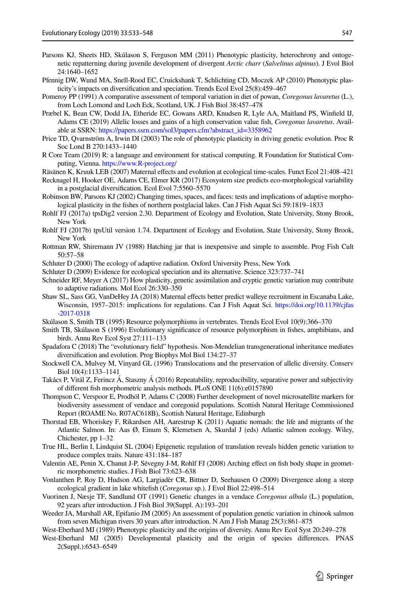- <span id="page-14-11"></span>Parsons KJ, Sheets HD, Skúlason S, Ferguson MM (2011) Phenotypic plasticity, heterochrony and ontogenetic repatterning during juvenile development of divergent *Arctic charr* (*Salvelinus alpinus*). J Evol Biol 24:1640–1652
- <span id="page-14-12"></span>Pfennig DW, Wund MA, Snell-Rood EC, Cruickshank T, Schlichting CD, Moczek AP (2010) Phenotypic plasticity's impacts on diversifcation and speciation. Trends Ecol Evol 25(8):459–467
- <span id="page-14-27"></span>Pomeroy PP (1991) A comparative assessment of temporal variation in diet of powan, *Coregonus lavaretus* (L.), from Loch Lomond and Loch Eck, Scotland, UK. J Fish Biol 38:457–478
- <span id="page-14-25"></span>Præbel K, Bean CW, Dodd JA, Etheride EC, Gowans ARD, Knudsen R, Lyle AA, Maitland PS, Winfeld IJ, Adams CE (2019) Allelic losses and gains of a high conservation value fsh, *Coregonus lavaretus*. Available at SSRN: [https://papers.ssrn.com/sol3/papers.cfm?abstract\\_id=3358962](https://papers.ssrn.com/sol3/papers.cfm%3fabstract_id%3d3358962)
- <span id="page-14-6"></span>Price TD, Qvarnström A, Irwin DI (2003) The role of phenotypic plasticity in driving genetic evolution. Proc R Soc Lond B 270:1433–1440
- <span id="page-14-19"></span>R Core Team (2019) R: a language and environment for statiscal computing. R Foundation for Statistical Computing, Vienna.<https://www.R-project.org/>

<span id="page-14-7"></span>Räsänen K, Kruuk LEB (2007) Maternal efects and evolution at ecological time-scales. Funct Ecol 21:408–421

- <span id="page-14-13"></span>Recknagel H, Hooker OE, Adams CE, Elmer KR (2017) Ecosystem size predicts eco-morphological variability in a postglacial diversifcation. Ecol Evol 7:5560–5570
- <span id="page-14-5"></span>Robinson BW, Parsons KJ (2002) Changing times, spaces, and faces: tests and implications of adaptive morphological plasticity in the fshes of northern postglacial lakes. Can J Fish Aquat Sci 59:1819–1833
- <span id="page-14-18"></span>Rohlf FJ (2017a) tpsDig2 version 2.30. Department of Ecology and Evolution, State University, Stony Brook, New York
- <span id="page-14-16"></span>Rohlf FJ (2017b) tpsUtil version 1.74. Department of Ecology and Evolution, State University, Stony Brook, New York
- <span id="page-14-15"></span>Rottman RW, Shiremann JV (1988) Hatching jar that is inexpensive and simple to assemble. Prog Fish Cult 50:57–58
- <span id="page-14-0"></span>Schluter D (2000) The ecology of adaptive radiation. Oxford University Press, New York
- <span id="page-14-3"></span>Schluter D (2009) Evidence for ecological speciation and its alternative. Science 323:737–741
- <span id="page-14-10"></span>Schneider RF, Meyer A (2017) How plasticity, genetic assimilation and cryptic genetic variation may contribute to adaptive radiations. Mol Ecol 26:330–350
- <span id="page-14-22"></span>Shaw SL, Sass GG, VanDeHey JA (2018) Maternal efects better predict walleye recruitment in Escanaba Lake, Wisconsin, 1957–2015: implications for regulations. Can J Fish Aquat Sci. [https://doi.org/10.1139/cjfas](https://doi.org/10.1139/cjfas-2017-0318) [-2017-0318](https://doi.org/10.1139/cjfas-2017-0318)
- <span id="page-14-29"></span>Skúlason S, Smith TB (1995) Resource polymorphisms in vertebrates. Trends Ecol Evol 10(9):366–370
- <span id="page-14-1"></span>Smith TB, Skúlason S (1996) Evolutionary signifcance of resource polymorphism in fshes, amphibians, and birds. Annu Rev Ecol Syst 27:111–133
- <span id="page-14-23"></span>Spadafora C (2018) The "evolutionary feld" hypothesis. Non-Mendelian transgenerational inheritance mediates diversifcation and evolution. Prog Biophys Mol Biol 134:27–37
- <span id="page-14-28"></span>Stockwell CA, Mulvey M, Vinyard GL (1996) Translocations and the preservation of allelic diversity. Conserv Biol 10(4):1133–1141
- <span id="page-14-17"></span>Takács P, Vitál Z, Ferincz Á, Staszny Á (2016) Repeatability, reproducibility, separative power and subjectivity of diferent fsh morphometric analysis methods. PLoS ONE 11(6):e0157890
- <span id="page-14-9"></span>Thompson C, Verspoor E, Prodhöl P, Adams C (2008) Further development of novel microsatellite markers for biodiversity assessment of vendace and coregonid populations. Scottish Natural Heritage Commissioned Report (ROAME No. R07AC618B), Scottish Natural Heritage, Edinburgh
- <span id="page-14-14"></span>Thorstad EB, Whoriskey F, Rikardsen AH, Aarestrup K (2011) Aquatic nomads: the life and migrants of the Atlantic Salmon. In: Aas Ø, Einum S, Klemetsen A, Skurdal J (eds) Atlantic salmon ecology. Wiley, Chichester, pp 1–32
- <span id="page-14-8"></span>True HL, Berlin I, Lindquist SL (2004) Epigenetic regulation of translation reveals hidden genetic variation to produce complex traits. Nature 431:184–187
- <span id="page-14-20"></span>Valentin AE, Penin X, Chanut J-P, Sévegny J-M, Rohlf FJ (2008) Arching efect on fsh body shape in geometric morphometric studies. J Fish Biol 73:623–638
- <span id="page-14-2"></span>Vonlanthen P, Roy D, Hudson AG, Largiadèr CR, Bittner D, Seehausen O (2009) Divergence along a steep ecological gradient in lake whitefsh (*Coregonus* sp.). J Evol Biol 22:498–514
- <span id="page-14-24"></span>Vuorinen J, Næsje TF, Sandlund OT (1991) Genetic changes in a vendace *Coregonus albula* (L.) population, 92 years after introduction. J Fish Biol 39(Suppl. A):193–201
- <span id="page-14-26"></span>Weeder JA, Marshall AR, Epifanio JM (2005) An assessment of population genetic variation in chinook salmon from seven Michigan rivers 30 years after introduction. N Am J Fish Manag 25(3):861–875
- <span id="page-14-4"></span>West-Eberhard MJ (1989) Phenotypic plasticity and the origins of diversity. Annu Rev Ecol Syst 20:249–278
- <span id="page-14-21"></span>West-Eberhard MJ (2005) Developmental plasticity and the origin of species diferences. PNAS 2(Suppl.):6543–6549